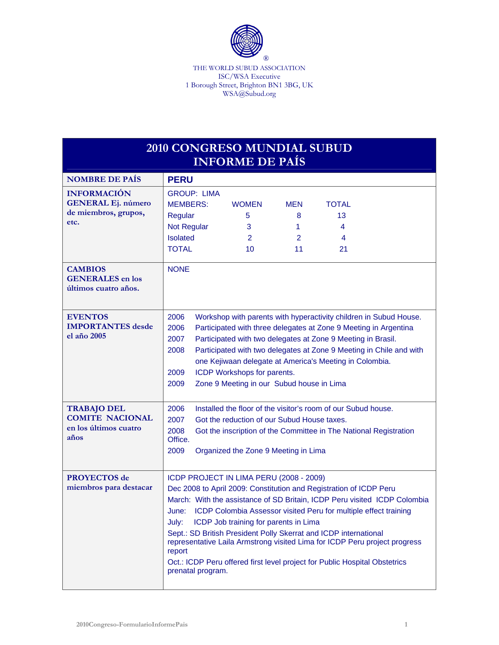

THE WORLD SUBUD ASSOCIATION ISC/WSA Executive 1 Borough Street, Brighton BN1 3BG, UK WSA@Subud.org

| <b>2010 CONGRESO MUNDIAL SUBUD</b><br><b>INFORME DE PAÍS</b>                    |                                                                                                                                                                                                                                                                                                                                                                                                                                                                                                                                                                                          |  |  |  |  |
|---------------------------------------------------------------------------------|------------------------------------------------------------------------------------------------------------------------------------------------------------------------------------------------------------------------------------------------------------------------------------------------------------------------------------------------------------------------------------------------------------------------------------------------------------------------------------------------------------------------------------------------------------------------------------------|--|--|--|--|
| <b>NOMBRE DE PAÍS</b>                                                           | <b>PERU</b>                                                                                                                                                                                                                                                                                                                                                                                                                                                                                                                                                                              |  |  |  |  |
| <b>INFORMACIÓN</b><br><b>GENERAL Ej. número</b><br>de miembros, grupos,<br>etc. | <b>GROUP: LIMA</b><br><b>MEMBERS:</b><br><b>WOMEN</b><br><b>TOTAL</b><br><b>MEN</b><br>5<br>13<br>Regular<br>8<br><b>Not Regular</b><br>3<br>1<br>4<br><b>Isolated</b><br>$\overline{2}$<br>$\overline{2}$<br>4<br><b>TOTAL</b><br>10<br>11<br>21                                                                                                                                                                                                                                                                                                                                        |  |  |  |  |
| <b>CAMBIOS</b><br><b>GENERALES</b> en los<br>últimos cuatro años.               | <b>NONE</b>                                                                                                                                                                                                                                                                                                                                                                                                                                                                                                                                                                              |  |  |  |  |
| <b>EVENTOS</b><br><b>IMPORTANTES</b> desde<br>el año 2005                       | 2006<br>Workshop with parents with hyperactivity children in Subud House.<br>2006<br>Participated with three delegates at Zone 9 Meeting in Argentina<br>2007<br>Participated with two delegates at Zone 9 Meeting in Brasil.<br>Participated with two delegates at Zone 9 Meeting in Chile and with<br>2008<br>one Kejiwaan delegate at America's Meeting in Colombia.<br>2009<br>ICDP Workshops for parents.<br>Zone 9 Meeting in our Subud house in Lima<br>2009                                                                                                                      |  |  |  |  |
| <b>TRABAJO DEL</b><br><b>COMITE NACIONAL</b><br>en los últimos cuatro<br>años   | Installed the floor of the visitor's room of our Subud house.<br>2006<br>2007<br>Got the reduction of our Subud House taxes.<br>2008<br>Got the inscription of the Committee in The National Registration<br>Office.<br>2009<br>Organized the Zone 9 Meeting in Lima                                                                                                                                                                                                                                                                                                                     |  |  |  |  |
| <b>PROYECTOS</b> de<br>miembros para destacar                                   | ICDP PROJECT IN LIMA PERU (2008 - 2009)<br>Dec 2008 to April 2009: Constitution and Registration of ICDP Peru<br>March: With the assistance of SD Britain, ICDP Peru visited ICDP Colombia<br>ICDP Colombia Assessor visited Peru for multiple effect training<br>June:<br>July:<br>ICDP Job training for parents in Lima<br>Sept.: SD British President Polly Skerrat and ICDP international<br>representative Laila Armstrong visited Lima for ICDP Peru project progress<br>report<br>Oct.: ICDP Peru offered first level project for Public Hospital Obstetrics<br>prenatal program. |  |  |  |  |